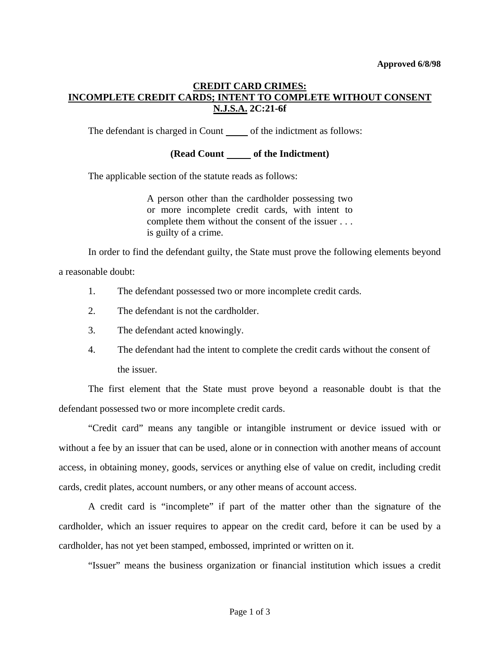# **CREDIT CARD CRIMES: INCOMPLETE CREDIT CARDS; INTENT TO COMPLETE WITHOUT CONSENT N.J.S.A. 2C:21-6f**

The defendant is charged in Count \_\_\_\_\_\_ of the indictment as follows:

## **(Read Count of the Indictment)**

The applicable section of the statute reads as follows:

A person other than the cardholder possessing two or more incomplete credit cards, with intent to complete them without the consent of the issuer . . . is guilty of a crime.

In order to find the defendant guilty, the State must prove the following elements beyond

a reasonable doubt:

- 1. The defendant possessed two or more incomplete credit cards.
- 2. The defendant is not the cardholder.
- 3. The defendant acted knowingly.
- 4. The defendant had the intent to complete the credit cards without the consent of the issuer.

 The first element that the State must prove beyond a reasonable doubt is that the defendant possessed two or more incomplete credit cards.

 "Credit card" means any tangible or intangible instrument or device issued with or without a fee by an issuer that can be used, alone or in connection with another means of account access, in obtaining money, goods, services or anything else of value on credit, including credit cards, credit plates, account numbers, or any other means of account access.

 A credit card is "incomplete" if part of the matter other than the signature of the cardholder, which an issuer requires to appear on the credit card, before it can be used by a cardholder, has not yet been stamped, embossed, imprinted or written on it.

"Issuer" means the business organization or financial institution which issues a credit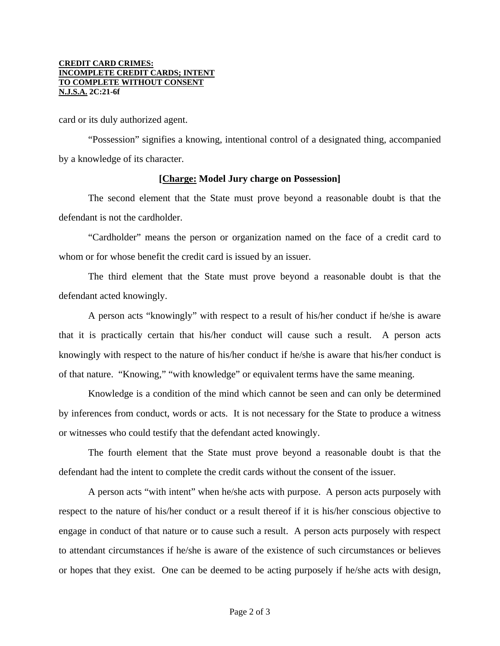#### **CREDIT CARD CRIMES: INCOMPLETE CREDIT CARDS; INTENT TO COMPLETE WITHOUT CONSENT N.J.S.A. 2C:21-6f**

card or its duly authorized agent.

 "Possession" signifies a knowing, intentional control of a designated thing, accompanied by a knowledge of its character.

### **[Charge: Model Jury charge on Possession]**

 The second element that the State must prove beyond a reasonable doubt is that the defendant is not the cardholder.

 "Cardholder" means the person or organization named on the face of a credit card to whom or for whose benefit the credit card is issued by an issuer.

 The third element that the State must prove beyond a reasonable doubt is that the defendant acted knowingly.

 A person acts "knowingly" with respect to a result of his/her conduct if he/she is aware that it is practically certain that his/her conduct will cause such a result. A person acts knowingly with respect to the nature of his/her conduct if he/she is aware that his/her conduct is of that nature. "Knowing," "with knowledge" or equivalent terms have the same meaning.

 Knowledge is a condition of the mind which cannot be seen and can only be determined by inferences from conduct, words or acts. It is not necessary for the State to produce a witness or witnesses who could testify that the defendant acted knowingly.

 The fourth element that the State must prove beyond a reasonable doubt is that the defendant had the intent to complete the credit cards without the consent of the issuer.

 A person acts "with intent" when he/she acts with purpose. A person acts purposely with respect to the nature of his/her conduct or a result thereof if it is his/her conscious objective to engage in conduct of that nature or to cause such a result. A person acts purposely with respect to attendant circumstances if he/she is aware of the existence of such circumstances or believes or hopes that they exist. One can be deemed to be acting purposely if he/she acts with design,